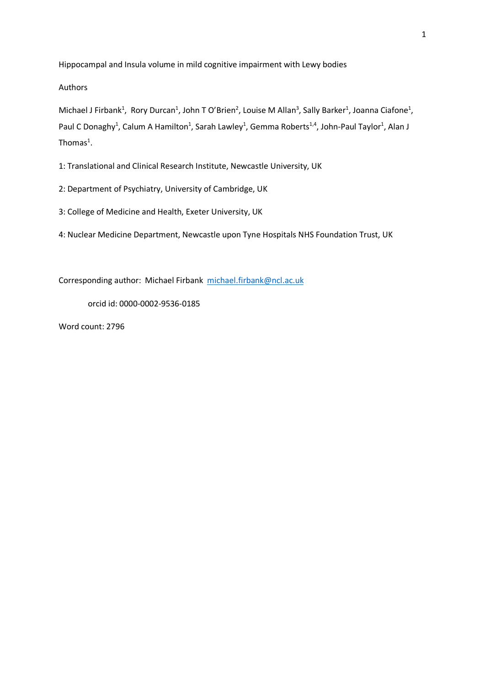Hippocampal and Insula volume in mild cognitive impairment with Lewy bodies

Authors

Michael J Firbank<sup>1</sup>, Rory Durcan<sup>1</sup>, John T O'Brien<sup>2</sup>, Louise M Allan<sup>3</sup>, Sally Barker<sup>1</sup>, Joanna Ciafone<sup>1</sup>, Paul C Donaghy<sup>1</sup>, Calum A Hamilton<sup>1</sup>, Sarah Lawley<sup>1</sup>, Gemma Roberts<sup>1,4</sup>, John-Paul Taylor<sup>1</sup>, Alan J Thomas $^1$ .

1: Translational and Clinical Research Institute, Newcastle University, UK

2: Department of Psychiatry, University of Cambridge, UK

3: College of Medicine and Health, Exeter University, UK

4: Nuclear Medicine Department, Newcastle upon Tyne Hospitals NHS Foundation Trust, UK

Corresponding author: Michael Firbank [michael.firbank@ncl.ac.uk](mailto:michael.firbank@ncl.ac.uk)

orcid id: 0000-0002-9536-0185

Word count: 2796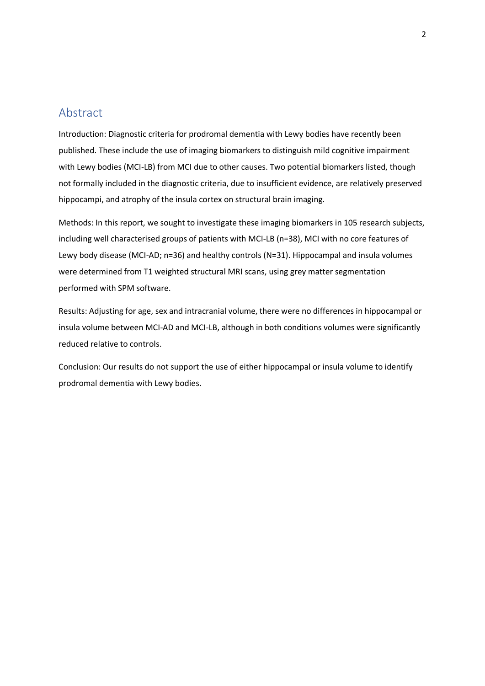### Abstract

Introduction: Diagnostic criteria for prodromal dementia with Lewy bodies have recently been published. These include the use of imaging biomarkers to distinguish mild cognitive impairment with Lewy bodies (MCI-LB) from MCI due to other causes. Two potential biomarkers listed, though not formally included in the diagnostic criteria, due to insufficient evidence, are relatively preserved hippocampi, and atrophy of the insula cortex on structural brain imaging.

Methods: In this report, we sought to investigate these imaging biomarkers in 105 research subjects, including well characterised groups of patients with MCI-LB (n=38), MCI with no core features of Lewy body disease (MCI-AD; n=36) and healthy controls (N=31). Hippocampal and insula volumes were determined from T1 weighted structural MRI scans, using grey matter segmentation performed with SPM software.

Results: Adjusting for age, sex and intracranial volume, there were no differences in hippocampal or insula volume between MCI-AD and MCI-LB, although in both conditions volumes were significantly reduced relative to controls.

Conclusion: Our results do not support the use of either hippocampal or insula volume to identify prodromal dementia with Lewy bodies.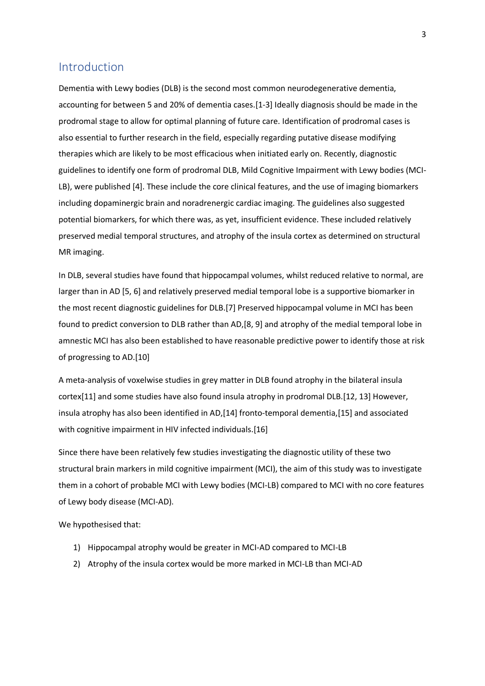### Introduction

Dementia with Lewy bodies (DLB) is the second most common neurodegenerative dementia, accounting for between 5 and 20% of dementia cases.[1-3] Ideally diagnosis should be made in the prodromal stage to allow for optimal planning of future care. Identification of prodromal cases is also essential to further research in the field, especially regarding putative disease modifying therapies which are likely to be most efficacious when initiated early on. Recently, diagnostic guidelines to identify one form of prodromal DLB, Mild Cognitive Impairment with Lewy bodies (MCI-LB), were published [4]. These include the core clinical features, and the use of imaging biomarkers including dopaminergic brain and noradrenergic cardiac imaging. The guidelines also suggested potential biomarkers, for which there was, as yet, insufficient evidence. These included relatively preserved medial temporal structures, and atrophy of the insula cortex as determined on structural MR imaging.

In DLB, several studies have found that hippocampal volumes, whilst reduced relative to normal, are larger than in AD [5, 6] and relatively preserved medial temporal lobe is a supportive biomarker in the most recent diagnostic guidelines for DLB.[7] Preserved hippocampal volume in MCI has been found to predict conversion to DLB rather than AD,[8, 9] and atrophy of the medial temporal lobe in amnestic MCI has also been established to have reasonable predictive power to identify those at risk of progressing to AD.[10]

A meta-analysis of voxelwise studies in grey matter in DLB found atrophy in the bilateral insula cortex[11] and some studies have also found insula atrophy in prodromal DLB.[12, 13] However, insula atrophy has also been identified in AD,[14] fronto-temporal dementia,[15] and associated with cognitive impairment in HIV infected individuals.[16]

Since there have been relatively few studies investigating the diagnostic utility of these two structural brain markers in mild cognitive impairment (MCI), the aim of this study was to investigate them in a cohort of probable MCI with Lewy bodies (MCI-LB) compared to MCI with no core features of Lewy body disease (MCI-AD).

We hypothesised that:

- 1) Hippocampal atrophy would be greater in MCI-AD compared to MCI-LB
- 2) Atrophy of the insula cortex would be more marked in MCI-LB than MCI-AD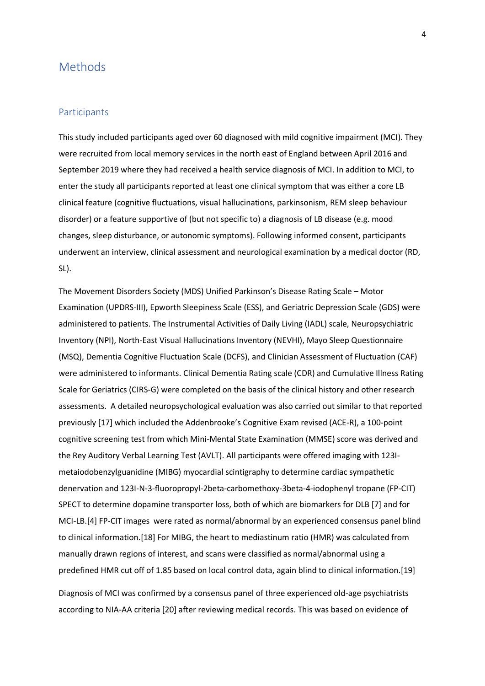### Methods

#### **Participants**

This study included participants aged over 60 diagnosed with mild cognitive impairment (MCI). They were recruited from local memory services in the north east of England between April 2016 and September 2019 where they had received a health service diagnosis of MCI. In addition to MCI, to enter the study all participants reported at least one clinical symptom that was either a core LB clinical feature (cognitive fluctuations, visual hallucinations, parkinsonism, REM sleep behaviour disorder) or a feature supportive of (but not specific to) a diagnosis of LB disease (e.g. mood changes, sleep disturbance, or autonomic symptoms). Following informed consent, participants underwent an interview, clinical assessment and neurological examination by a medical doctor (RD, SL).

The Movement Disorders Society (MDS) Unified Parkinson's Disease Rating Scale – Motor Examination (UPDRS-III), Epworth Sleepiness Scale (ESS), and Geriatric Depression Scale (GDS) were administered to patients. The Instrumental Activities of Daily Living (IADL) scale, Neuropsychiatric Inventory (NPI), North-East Visual Hallucinations Inventory (NEVHI), Mayo Sleep Questionnaire (MSQ), Dementia Cognitive Fluctuation Scale (DCFS), and Clinician Assessment of Fluctuation (CAF) were administered to informants. Clinical Dementia Rating scale (CDR) and Cumulative Illness Rating Scale for Geriatrics (CIRS-G) were completed on the basis of the clinical history and other research assessments. A detailed neuropsychological evaluation was also carried out similar to that reported previously [17] which included the Addenbrooke's Cognitive Exam revised (ACE-R), a 100-point cognitive screening test from which Mini-Mental State Examination (MMSE) score was derived and the Rey Auditory Verbal Learning Test (AVLT). All participants were offered imaging with 123Imetaiodobenzylguanidine (MIBG) myocardial scintigraphy to determine cardiac sympathetic denervation and 123I-N-3-fluoropropyl-2beta-carbomethoxy-3beta-4-iodophenyl tropane (FP-CIT) SPECT to determine dopamine transporter loss, both of which are biomarkers for DLB [7] and for MCI-LB.[4] FP-CIT images were rated as normal/abnormal by an experienced consensus panel blind to clinical information.[18] For MIBG, the heart to mediastinum ratio (HMR) was calculated from manually drawn regions of interest, and scans were classified as normal/abnormal using a predefined HMR cut off of 1.85 based on local control data, again blind to clinical information.[19]

Diagnosis of MCI was confirmed by a consensus panel of three experienced old-age psychiatrists according to NIA-AA criteria [20] after reviewing medical records. This was based on evidence of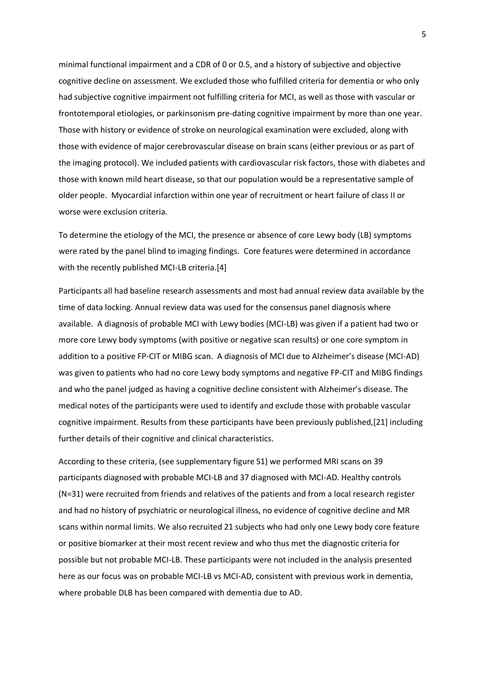minimal functional impairment and a CDR of 0 or 0.5, and a history of subjective and objective cognitive decline on assessment. We excluded those who fulfilled criteria for dementia or who only had subjective cognitive impairment not fulfilling criteria for MCI, as well as those with vascular or frontotemporal etiologies, or parkinsonism pre-dating cognitive impairment by more than one year. Those with history or evidence of stroke on neurological examination were excluded, along with those with evidence of major cerebrovascular disease on brain scans (either previous or as part of the imaging protocol). We included patients with cardiovascular risk factors, those with diabetes and those with known mild heart disease, so that our population would be a representative sample of older people. Myocardial infarction within one year of recruitment or heart failure of class II or worse were exclusion criteria.

To determine the etiology of the MCI, the presence or absence of core Lewy body (LB) symptoms were rated by the panel blind to imaging findings. Core features were determined in accordance with the recently published MCI-LB criteria.[4]

Participants all had baseline research assessments and most had annual review data available by the time of data locking. Annual review data was used for the consensus panel diagnosis where available. A diagnosis of probable MCI with Lewy bodies (MCI-LB) was given if a patient had two or more core Lewy body symptoms (with positive or negative scan results) or one core symptom in addition to a positive FP-CIT or MIBG scan. A diagnosis of MCI due to Alzheimer's disease (MCI-AD) was given to patients who had no core Lewy body symptoms and negative FP-CIT and MIBG findings and who the panel judged as having a cognitive decline consistent with Alzheimer's disease. The medical notes of the participants were used to identify and exclude those with probable vascular cognitive impairment. Results from these participants have been previously published,[21] including further details of their cognitive and clinical characteristics.

According to these criteria, (see supplementary figure S1) we performed MRI scans on 39 participants diagnosed with probable MCI-LB and 37 diagnosed with MCI-AD. Healthy controls (N=31) were recruited from friends and relatives of the patients and from a local research register and had no history of psychiatric or neurological illness, no evidence of cognitive decline and MR scans within normal limits. We also recruited 21 subjects who had only one Lewy body core feature or positive biomarker at their most recent review and who thus met the diagnostic criteria for possible but not probable MCI-LB. These participants were not included in the analysis presented here as our focus was on probable MCI-LB vs MCI-AD, consistent with previous work in dementia, where probable DLB has been compared with dementia due to AD.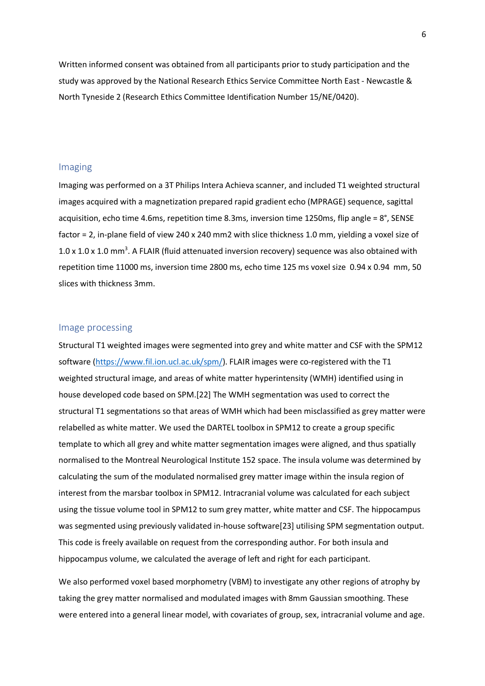Written informed consent was obtained from all participants prior to study participation and the study was approved by the National Research Ethics Service Committee North East - Newcastle & North Tyneside 2 (Research Ethics Committee Identification Number 15/NE/0420).

#### Imaging

Imaging was performed on a 3T Philips Intera Achieva scanner, and included T1 weighted structural images acquired with a magnetization prepared rapid gradient echo (MPRAGE) sequence, sagittal acquisition, echo time 4.6ms, repetition time 8.3ms, inversion time 1250ms, flip angle = 8°, SENSE factor = 2, in-plane field of view 240 x 240 mm2 with slice thickness 1.0 mm, yielding a voxel size of 1.0 x 1.0 x 1.0 mm<sup>3</sup>. A FLAIR (fluid attenuated inversion recovery) sequence was also obtained with repetition time 11000 ms, inversion time 2800 ms, echo time 125 ms voxel size 0.94 x 0.94 mm, 50 slices with thickness 3mm.

#### Image processing

Structural T1 weighted images were segmented into grey and white matter and CSF with the SPM12 software [\(https://www.fil.ion.ucl.ac.uk/spm/\)](https://www.fil.ion.ucl.ac.uk/spm/). FLAIR images were co-registered with the T1 weighted structural image, and areas of white matter hyperintensity (WMH) identified using in house developed code based on SPM.[22] The WMH segmentation was used to correct the structural T1 segmentations so that areas of WMH which had been misclassified as grey matter were relabelled as white matter. We used the DARTEL toolbox in SPM12 to create a group specific template to which all grey and white matter segmentation images were aligned, and thus spatially normalised to the Montreal Neurological Institute 152 space. The insula volume was determined by calculating the sum of the modulated normalised grey matter image within the insula region of interest from the marsbar toolbox in SPM12. Intracranial volume was calculated for each subject using the tissue volume tool in SPM12 to sum grey matter, white matter and CSF. The hippocampus was segmented using previously validated in-house software[23] utilising SPM segmentation output. This code is freely available on request from the corresponding author. For both insula and hippocampus volume, we calculated the average of left and right for each participant.

We also performed voxel based morphometry (VBM) to investigate any other regions of atrophy by taking the grey matter normalised and modulated images with 8mm Gaussian smoothing. These were entered into a general linear model, with covariates of group, sex, intracranial volume and age.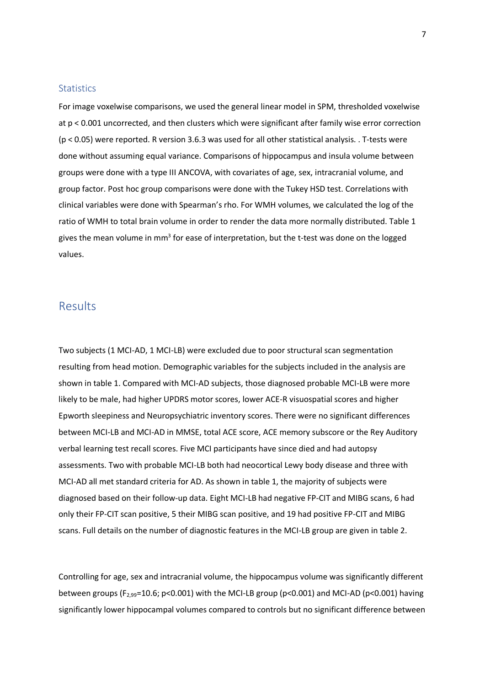#### **Statistics**

For image voxelwise comparisons, we used the general linear model in SPM, thresholded voxelwise at p < 0.001 uncorrected, and then clusters which were significant after family wise error correction (p < 0.05) were reported. R version 3.6.3 was used for all other statistical analysis. . T-tests were done without assuming equal variance. Comparisons of hippocampus and insula volume between groups were done with a type III ANCOVA, with covariates of age, sex, intracranial volume, and group factor. Post hoc group comparisons were done with the Tukey HSD test. Correlations with clinical variables were done with Spearman's rho. For WMH volumes, we calculated the log of the ratio of WMH to total brain volume in order to render the data more normally distributed. Table 1 gives the mean volume in  $mm<sup>3</sup>$  for ease of interpretation, but the t-test was done on the logged values.

### Results

Two subjects (1 MCI-AD, 1 MCI-LB) were excluded due to poor structural scan segmentation resulting from head motion. Demographic variables for the subjects included in the analysis are shown in table 1. Compared with MCI-AD subjects, those diagnosed probable MCI-LB were more likely to be male, had higher UPDRS motor scores, lower ACE-R visuospatial scores and higher Epworth sleepiness and Neuropsychiatric inventory scores. There were no significant differences between MCI-LB and MCI-AD in MMSE, total ACE score, ACE memory subscore or the Rey Auditory verbal learning test recall scores. Five MCI participants have since died and had autopsy assessments. Two with probable MCI-LB both had neocortical Lewy body disease and three with MCI-AD all met standard criteria for AD. As shown in table 1, the majority of subjects were diagnosed based on their follow-up data. Eight MCI-LB had negative FP-CIT and MIBG scans, 6 had only their FP-CIT scan positive, 5 their MIBG scan positive, and 19 had positive FP-CIT and MIBG scans. Full details on the number of diagnostic features in the MCI-LB group are given in table 2.

Controlling for age, sex and intracranial volume, the hippocampus volume was significantly different between groups (F2,99=10.6; p<0.001) with the MCI-LB group (p<0.001) and MCI-AD (p<0.001) having significantly lower hippocampal volumes compared to controls but no significant difference between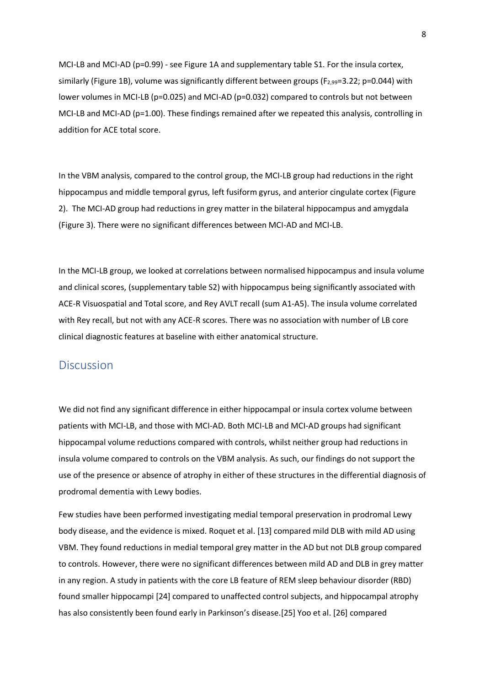MCI-LB and MCI-AD (p=0.99) - see Figure 1A and supplementary table S1. For the insula cortex, similarly (Figure 1B), volume was significantly different between groups ( $F_{2,99}$ =3.22; p=0.044) with lower volumes in MCI-LB (p=0.025) and MCI-AD (p=0.032) compared to controls but not between MCI-LB and MCI-AD (p=1.00). These findings remained after we repeated this analysis, controlling in addition for ACE total score.

In the VBM analysis, compared to the control group, the MCI-LB group had reductions in the right hippocampus and middle temporal gyrus, left fusiform gyrus, and anterior cingulate cortex (Figure 2). The MCI-AD group had reductions in grey matter in the bilateral hippocampus and amygdala (Figure 3). There were no significant differences between MCI-AD and MCI-LB.

In the MCI-LB group, we looked at correlations between normalised hippocampus and insula volume and clinical scores, (supplementary table S2) with hippocampus being significantly associated with ACE-R Visuospatial and Total score, and Rey AVLT recall (sum A1-A5). The insula volume correlated with Rey recall, but not with any ACE-R scores. There was no association with number of LB core clinical diagnostic features at baseline with either anatomical structure.

### **Discussion**

We did not find any significant difference in either hippocampal or insula cortex volume between patients with MCI-LB, and those with MCI-AD. Both MCI-LB and MCI-AD groups had significant hippocampal volume reductions compared with controls, whilst neither group had reductions in insula volume compared to controls on the VBM analysis. As such, our findings do not support the use of the presence or absence of atrophy in either of these structures in the differential diagnosis of prodromal dementia with Lewy bodies.

Few studies have been performed investigating medial temporal preservation in prodromal Lewy body disease, and the evidence is mixed. Roquet et al. [13] compared mild DLB with mild AD using VBM. They found reductions in medial temporal grey matter in the AD but not DLB group compared to controls. However, there were no significant differences between mild AD and DLB in grey matter in any region. A study in patients with the core LB feature of REM sleep behaviour disorder (RBD) found smaller hippocampi [24] compared to unaffected control subjects, and hippocampal atrophy has also consistently been found early in Parkinson's disease.[25] Yoo et al. [26] compared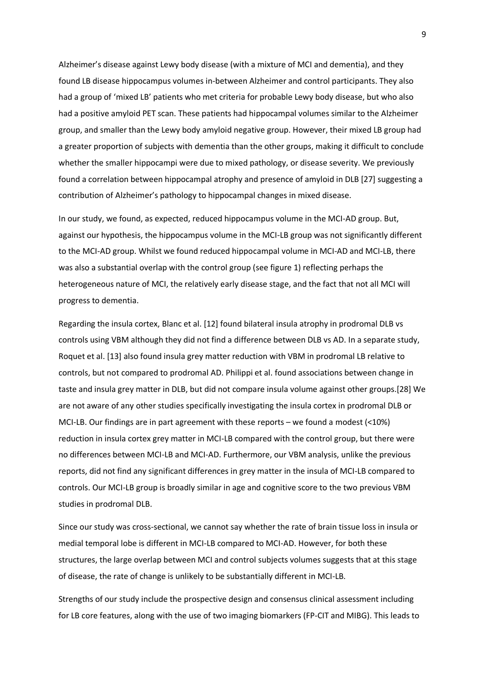Alzheimer's disease against Lewy body disease (with a mixture of MCI and dementia), and they found LB disease hippocampus volumes in-between Alzheimer and control participants. They also had a group of 'mixed LB' patients who met criteria for probable Lewy body disease, but who also had a positive amyloid PET scan. These patients had hippocampal volumes similar to the Alzheimer group, and smaller than the Lewy body amyloid negative group. However, their mixed LB group had a greater proportion of subjects with dementia than the other groups, making it difficult to conclude whether the smaller hippocampi were due to mixed pathology, or disease severity. We previously found a correlation between hippocampal atrophy and presence of amyloid in DLB [27] suggesting a contribution of Alzheimer's pathology to hippocampal changes in mixed disease.

In our study, we found, as expected, reduced hippocampus volume in the MCI-AD group. But, against our hypothesis, the hippocampus volume in the MCI-LB group was not significantly different to the MCI-AD group. Whilst we found reduced hippocampal volume in MCI-AD and MCI-LB, there was also a substantial overlap with the control group (see figure 1) reflecting perhaps the heterogeneous nature of MCI, the relatively early disease stage, and the fact that not all MCI will progress to dementia.

Regarding the insula cortex, Blanc et al. [12] found bilateral insula atrophy in prodromal DLB vs controls using VBM although they did not find a difference between DLB vs AD. In a separate study, Roquet et al. [13] also found insula grey matter reduction with VBM in prodromal LB relative to controls, but not compared to prodromal AD. Philippi et al. found associations between change in taste and insula grey matter in DLB, but did not compare insula volume against other groups.[28] We are not aware of any other studies specifically investigating the insula cortex in prodromal DLB or MCI-LB. Our findings are in part agreement with these reports – we found a modest (<10%) reduction in insula cortex grey matter in MCI-LB compared with the control group, but there were no differences between MCI-LB and MCI-AD. Furthermore, our VBM analysis, unlike the previous reports, did not find any significant differences in grey matter in the insula of MCI-LB compared to controls. Our MCI-LB group is broadly similar in age and cognitive score to the two previous VBM studies in prodromal DLB.

Since our study was cross-sectional, we cannot say whether the rate of brain tissue loss in insula or medial temporal lobe is different in MCI-LB compared to MCI-AD. However, for both these structures, the large overlap between MCI and control subjects volumes suggests that at this stage of disease, the rate of change is unlikely to be substantially different in MCI-LB.

Strengths of our study include the prospective design and consensus clinical assessment including for LB core features, along with the use of two imaging biomarkers (FP-CIT and MIBG). This leads to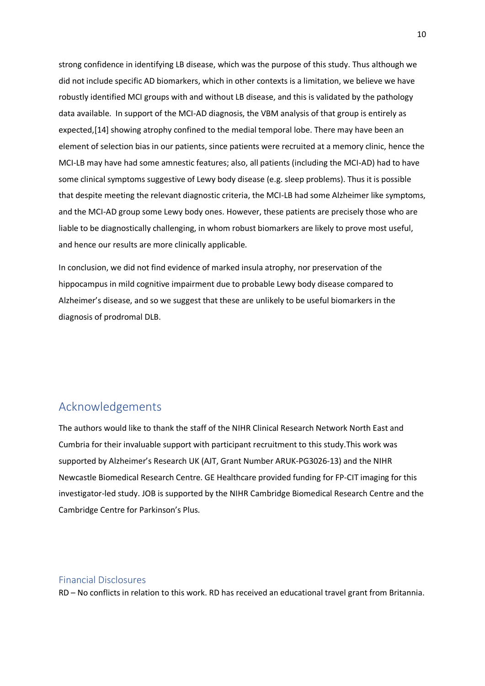strong confidence in identifying LB disease, which was the purpose of this study. Thus although we did not include specific AD biomarkers, which in other contexts is a limitation, we believe we have robustly identified MCI groups with and without LB disease, and this is validated by the pathology data available. In support of the MCI-AD diagnosis, the VBM analysis of that group is entirely as expected,[14] showing atrophy confined to the medial temporal lobe. There may have been an element of selection bias in our patients, since patients were recruited at a memory clinic, hence the MCI-LB may have had some amnestic features; also, all patients (including the MCI-AD) had to have some clinical symptoms suggestive of Lewy body disease (e.g. sleep problems). Thus it is possible that despite meeting the relevant diagnostic criteria, the MCI-LB had some Alzheimer like symptoms, and the MCI-AD group some Lewy body ones. However, these patients are precisely those who are liable to be diagnostically challenging, in whom robust biomarkers are likely to prove most useful, and hence our results are more clinically applicable.

In conclusion, we did not find evidence of marked insula atrophy, nor preservation of the hippocampus in mild cognitive impairment due to probable Lewy body disease compared to Alzheimer's disease, and so we suggest that these are unlikely to be useful biomarkers in the diagnosis of prodromal DLB.

# Acknowledgements

The authors would like to thank the staff of the NIHR Clinical Research Network North East and Cumbria for their invaluable support with participant recruitment to this study.This work was supported by Alzheimer's Research UK (AJT, Grant Number ARUK-PG3026-13) and the NIHR Newcastle Biomedical Research Centre. GE Healthcare provided funding for FP-CIT imaging for this investigator-led study. JOB is supported by the NIHR Cambridge Biomedical Research Centre and the Cambridge Centre for Parkinson's Plus.

#### Financial Disclosures

RD – No conflicts in relation to this work. RD has received an educational travel grant from Britannia.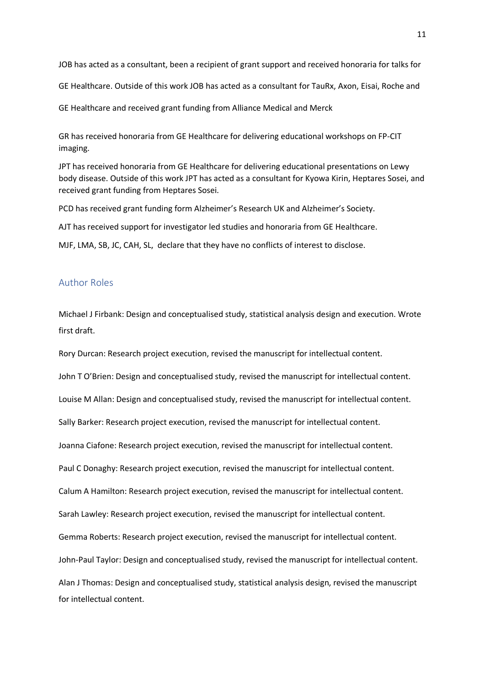JOB has acted as a consultant, been a recipient of grant support and received honoraria for talks for

GE Healthcare. Outside of this work JOB has acted as a consultant for TauRx, Axon, Eisai, Roche and

GE Healthcare and received grant funding from Alliance Medical and Merck

GR has received honoraria from GE Healthcare for delivering educational workshops on FP-CIT imaging.

JPT has received honoraria from GE Healthcare for delivering educational presentations on Lewy body disease. Outside of this work JPT has acted as a consultant for Kyowa Kirin, Heptares Sosei, and received grant funding from Heptares Sosei.

PCD has received grant funding form Alzheimer's Research UK and Alzheimer's Society.

AJT has received support for investigator led studies and honoraria from GE Healthcare.

MJF, LMA, SB, JC, CAH, SL, declare that they have no conflicts of interest to disclose.

### Author Roles

Michael J Firbank: Design and conceptualised study, statistical analysis design and execution. Wrote first draft.

Rory Durcan: Research project execution, revised the manuscript for intellectual content.

John T O'Brien: Design and conceptualised study, revised the manuscript for intellectual content.

Louise M Allan: Design and conceptualised study, revised the manuscript for intellectual content.

Sally Barker: Research project execution, revised the manuscript for intellectual content.

Joanna Ciafone: Research project execution, revised the manuscript for intellectual content.

Paul C Donaghy: Research project execution, revised the manuscript for intellectual content.

Calum A Hamilton: Research project execution, revised the manuscript for intellectual content.

Sarah Lawley: Research project execution, revised the manuscript for intellectual content.

Gemma Roberts: Research project execution, revised the manuscript for intellectual content.

John-Paul Taylor: Design and conceptualised study, revised the manuscript for intellectual content.

Alan J Thomas: Design and conceptualised study, statistical analysis design, revised the manuscript for intellectual content.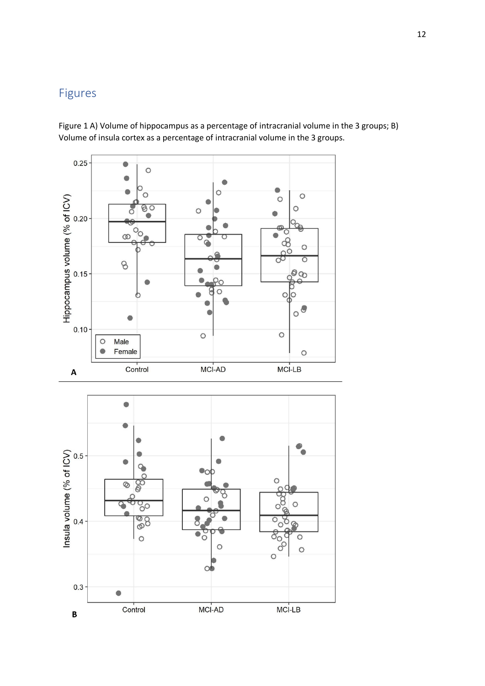# Figures

Figure 1 A) Volume of hippocampus as a percentage of intracranial volume in the 3 groups; B) Volume of insula cortex as a percentage of intracranial volume in the 3 groups.

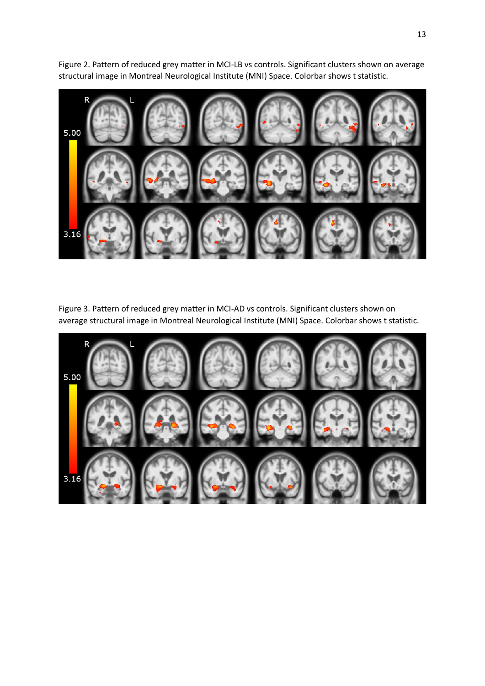

Figure 2. Pattern of reduced grey matter in MCI-LB vs controls. Significant clusters shown on average structural image in Montreal Neurological Institute (MNI) Space. Colorbar shows t statistic.

Figure 3. Pattern of reduced grey matter in MCI-AD vs controls. Significant clusters shown on average structural image in Montreal Neurological Institute (MNI) Space. Colorbar shows t statistic.

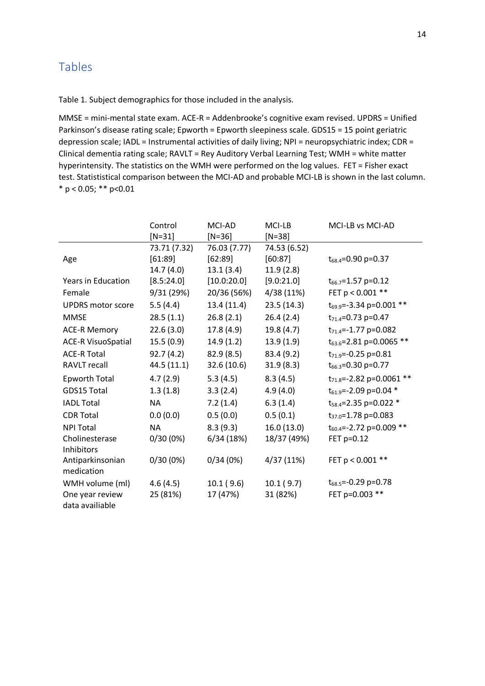# Tables

Table 1. Subject demographics for those included in the analysis.

MMSE = mini-mental state exam. ACE-R = Addenbrooke's cognitive exam revised. UPDRS = Unified Parkinson's disease rating scale; Epworth = Epworth sleepiness scale. GDS15 = 15 point geriatric depression scale; IADL = Instrumental activities of daily living; NPI = neuropsychiatric index; CDR = Clinical dementia rating scale; RAVLT = Rey Auditory Verbal Learning Test; WMH = white matter hyperintensity. The statistics on the WMH were performed on the log values. FET = Fisher exact test. Statististical comparison between the MCI-AD and probable MCI-LB is shown in the last column.  $*$  p < 0.05; \*\* p<0.01

|                           | Control      | MCI-AD       | MCI-LB       | MCI-LB vs MCI-AD                    |  |
|---------------------------|--------------|--------------|--------------|-------------------------------------|--|
|                           | $[N=31]$     | $[N=36]$     | $[N=38]$     |                                     |  |
|                           | 73.71 (7.32) | 76.03 (7.77) | 74.53 (6.52) |                                     |  |
| Age                       | [61:89]      | [62:89]      | [60:87]      | $t_{68.4}$ =0.90 p=0.37             |  |
|                           | 14.7 (4.0)   | 13.1(3.4)    | 11.9(2.8)    |                                     |  |
| <b>Years in Education</b> | [8.5:24.0]   | [10.0:20.0]  | [9.0:21.0]   | $t_{66.7}$ =1.57 p=0.12             |  |
| Female                    | 9/31 (29%)   | 20/36 (56%)  | 4/38 (11%)   | FET p < 0.001 **                    |  |
| <b>UPDRS</b> motor score  | 5.5(4.4)     | 13.4 (11.4)  | 23.5(14.3)   | $t_{69.9}$ =-3.34 p=0.001 **        |  |
| <b>MMSE</b>               | 28.5(1.1)    | 26.8(2.1)    | 26.4(2.4)    | $t_{71.4} = 0.73$ p=0.47            |  |
| <b>ACE-R Memory</b>       | 22.6(3.0)    | 17.8(4.9)    | 19.8(4.7)    | $t_{71.4}$ =-1.77 p=0.082           |  |
| <b>ACE-R VisuoSpatial</b> | 15.5(0.9)    | 14.9(1.2)    | 13.9(1.9)    | t <sub>63.6</sub> =2.81 p=0.0065 ** |  |
| <b>ACE-R Total</b>        | 92.7(4.2)    | 82.9(8.5)    | 83.4 (9.2)   | $t_{71.9}$ =-0.25 p=0.81            |  |
| <b>RAVLT recall</b>       | 44.5 (11.1)  | 32.6 (10.6)  | 31.9(8.3)    | $t_{66.3}$ =0.30 p=0.77             |  |
| <b>Epworth Total</b>      | 4.7(2.9)     | 5.3(4.5)     | 8.3(4.5)     | $t_{71.8}$ =-2.82 p=0.0061 **       |  |
| GDS15 Total               | 1.3(1.8)     | 3.3(2.4)     | 4.9(4.0)     | $t_{61.9}$ =-2.09 p=0.04 *          |  |
| <b>IADL Total</b>         | <b>NA</b>    | 7.2(1.4)     | 6.3(1.4)     | $t_{58.4}$ =2.35 p=0.022 *          |  |
| <b>CDR Total</b>          | 0.0(0.0)     | 0.5(0.0)     | 0.5(0.1)     | t <sub>37.0</sub> =1.78 p=0.083     |  |
| <b>NPI Total</b>          | <b>NA</b>    | 8.3(9.3)     | 16.0(13.0)   | $t_{60.4}$ =-2.72 p=0.009 **        |  |
| Cholinesterase            | 0/30(0%)     | 6/34(18%)    | 18/37 (49%)  | FET p=0.12                          |  |
| Inhibitors                |              |              |              |                                     |  |
| Antiparkinsonian          | 0/30(0%)     | 0/34(0%)     | 4/37 (11%)   | FET p < 0.001 **                    |  |
| medication                |              |              |              |                                     |  |
| WMH volume (ml)           | 4.6(4.5)     | 10.1(9.6)    | 10.1(9.7)    | $t_{68.5}$ =-0.29 p=0.78            |  |
| One year review           | 25 (81%)     | 17 (47%)     | 31 (82%)     | FET p=0.003 **                      |  |
| data availiable           |              |              |              |                                     |  |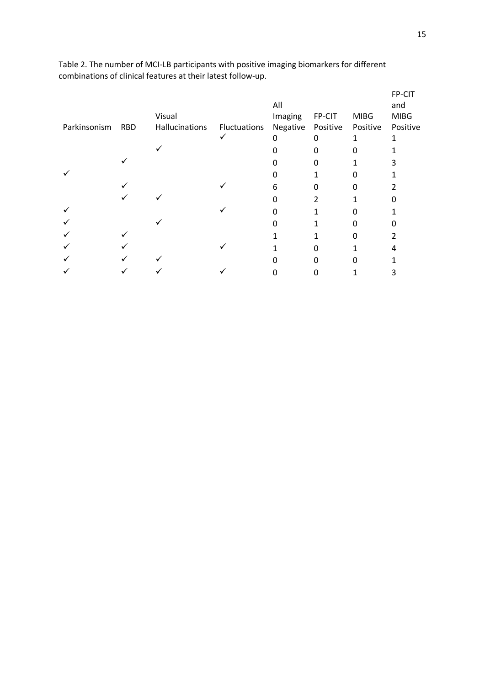|              |            |                |              | All      |          |             | FP-CIT<br>and |
|--------------|------------|----------------|--------------|----------|----------|-------------|---------------|
|              |            | Visual         |              | Imaging  | FP-CIT   | <b>MIBG</b> | <b>MIBG</b>   |
| Parkinsonism | <b>RBD</b> | Hallucinations | Fluctuations | Negative | Positive | Positive    | Positive      |
|              |            |                |              | $\Omega$ | 0        | 1           |               |
|              |            |                |              |          | n        |             |               |
|              |            |                |              |          | n        |             |               |
|              |            |                |              |          |          |             |               |
|              |            |                |              | 6        | n        | 0           |               |
|              |            |                |              | O        | 2        |             | O             |
|              |            |                |              |          |          |             |               |
|              |            |                |              |          |          |             |               |
|              |            |                |              |          |          |             |               |
|              |            |                |              |          | n        |             |               |
|              |            |                |              |          | n        |             |               |
|              |            |                |              |          |          |             | 3             |

Table 2. The number of MCI-LB participants with positive imaging biomarkers for different combinations of clinical features at their latest follow-up.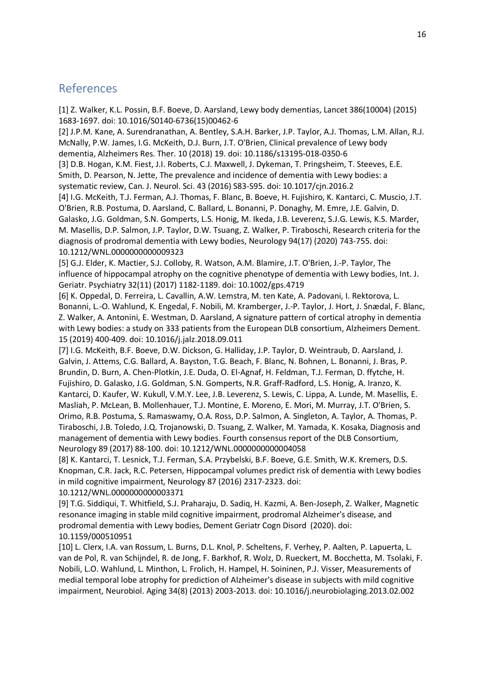## References

[1] Z. Walker, K.L. Possin, B.F. Boeve, D. Aarsland, Lewy body dementias, Lancet 386(10004) (2015) 1683-1697. doi: 10.1016/S0140-6736(15)00462-6

[2] J.P.M. Kane, A. Surendranathan, A. Bentley, S.A.H. Barker, J.P. Taylor, A.J. Thomas, L.M. Allan, R.J. McNally, P.W. James, I.G. McKeith, D.J. Burn, J.T. O'Brien, Clinical prevalence of Lewy body dementia, Alzheimers Res. Ther. 10 (2018) 19. doi: 10.1186/s13195-018-0350-6

[3] D.B. Hogan, K.M. Fiest, J.I. Roberts, C.J. Maxwell, J. Dykeman, T. Pringsheim, T. Steeves, E.E. Smith, D. Pearson, N. Jette, The prevalence and incidence of dementia with Lewy bodies: a systematic review, Can. J. Neurol. Sci. 43 (2016) S83-S95. doi: 10.1017/cjn.2016.2

[4] I.G. McKeith, T.J. Ferman, A.J. Thomas, F. Blanc, B. Boeve, H. Fujishiro, K. Kantarci, C. Muscio, J.T. O'Brien, R.B. Postuma, D. Aarsland, C. Ballard, L. Bonanni, P. Donaghy, M. Emre, J.E. Galvin, D. Galasko, J.G. Goldman, S.N. Gomperts, L.S. Honig, M. Ikeda, J.B. Leverenz, S.J.G. Lewis, K.S. Marder, M. Masellis, D.P. Salmon, J.P. Taylor, D.W. Tsuang, Z. Walker, P. Tiraboschi, Research criteria for the diagnosis of prodromal dementia with Lewy bodies, Neurology 94(17) (2020) 743-755. doi: 10.1212/WNL.0000000000009323

[5] G.J. Elder, K. Mactier, S.J. Colloby, R. Watson, A.M. Blamire, J.T. O'Brien, J.-P. Taylor, The influence of hippocampal atrophy on the cognitive phenotype of dementia with Lewy bodies, Int. J. Geriatr. Psychiatry 32(11) (2017) 1182-1189. doi: 10.1002/gps.4719

[6] K. Oppedal, D. Ferreira, L. Cavallin, A.W. Lemstra, M. ten Kate, A. Padovani, I. Rektorova, L. Bonanni, L.-O. Wahlund, K. Engedal, F. Nobili, M. Kramberger, J.-P. Taylor, J. Hort, J. Snædal, F. Blanc, Z. Walker, A. Antonini, E. Westman, D. Aarsland, A signature pattern of cortical atrophy in dementia with Lewy bodies: a study on 333 patients from the European DLB consortium, Alzheimers Dement. 15 (2019) 400-409. doi: 10.1016/j.jalz.2018.09.011

[7] I.G. McKeith, B.F. Boeve, D.W. Dickson, G. Halliday, J.P. Taylor, D. Weintraub, D. Aarsland, J. Galvin, J. Attems, C.G. Ballard, A. Bayston, T.G. Beach, F. Blanc, N. Bohnen, L. Bonanni, J. Bras, P. Brundin, D. Burn, A. Chen-Plotkin, J.E. Duda, O. El-Agnaf, H. Feldman, T.J. Ferman, D. ffytche, H. Fujishiro, D. Galasko, J.G. Goldman, S.N. Gomperts, N.R. Graff-Radford, L.S. Honig, A. Iranzo, K. Kantarci, D. Kaufer, W. Kukull, V.M.Y. Lee, J.B. Leverenz, S. Lewis, C. Lippa, A. Lunde, M. Masellis, E. Masliah, P. McLean, B. Mollenhauer, T.J. Montine, E. Moreno, E. Mori, M. Murray, J.T. O'Brien, S. Orimo, R.B. Postuma, S. Ramaswamy, O.A. Ross, D.P. Salmon, A. Singleton, A. Taylor, A. Thomas, P. Tiraboschi, J.B. Toledo, J.Q. Trojanowski, D. Tsuang, Z. Walker, M. Yamada, K. Kosaka, Diagnosis and management of dementia with Lewy bodies. Fourth consensus report of the DLB Consortium, Neurology 89 (2017) 88-100. doi: 10.1212/WNL.0000000000004058

[8] K. Kantarci, T. Lesnick, T.J. Ferman, S.A. Przybelski, B.F. Boeve, G.E. Smith, W.K. Kremers, D.S. Knopman, C.R. Jack, R.C. Petersen, Hippocampal volumes predict risk of dementia with Lewy bodies in mild cognitive impairment, Neurology 87 (2016) 2317-2323. doi:

10.1212/WNL.0000000000003371

[9] T.G. Siddiqui, T. Whitfield, S.J. Praharaju, D. Sadiq, H. Kazmi, A. Ben-Joseph, Z. Walker, Magnetic resonance imaging in stable mild cognitive impairment, prodromal Alzheimer's disease, and prodromal dementia with Lewy bodies, Dement Geriatr Cogn Disord (2020). doi: 10.1159/000510951

[10] L. Clerx, I.A. van Rossum, L. Burns, D.L. Knol, P. Scheltens, F. Verhey, P. Aalten, P. Lapuerta, L. van de Pol, R. van Schijndel, R. de Jong, F. Barkhof, R. Wolz, D. Rueckert, M. Bocchetta, M. Tsolaki, F. Nobili, L.O. Wahlund, L. Minthon, L. Frolich, H. Hampel, H. Soininen, P.J. Visser, Measurements of medial temporal lobe atrophy for prediction of Alzheimer's disease in subjects with mild cognitive impairment, Neurobiol. Aging 34(8) (2013) 2003-2013. doi: 10.1016/j.neurobiolaging.2013.02.002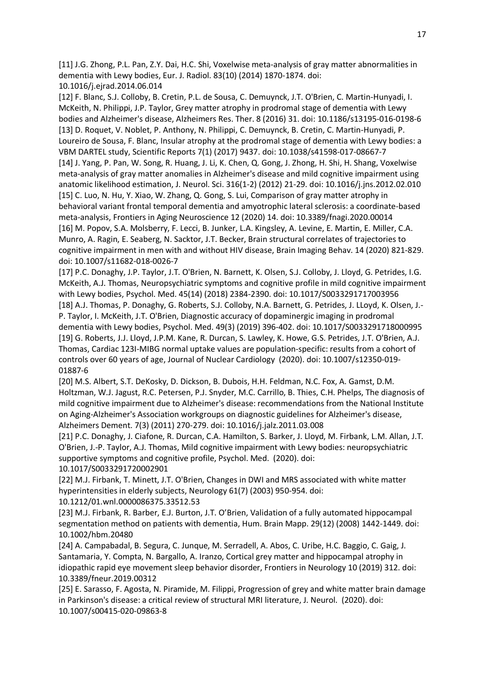[11] J.G. Zhong, P.L. Pan, Z.Y. Dai, H.C. Shi, Voxelwise meta-analysis of gray matter abnormalities in dementia with Lewy bodies, Eur. J. Radiol. 83(10) (2014) 1870-1874. doi: 10.1016/j.ejrad.2014.06.014

[12] F. Blanc, S.J. Colloby, B. Cretin, P.L. de Sousa, C. Demuynck, J.T. O'Brien, C. Martin-Hunyadi, I. McKeith, N. Philippi, J.P. Taylor, Grey matter atrophy in prodromal stage of dementia with Lewy bodies and Alzheimer's disease, Alzheimers Res. Ther. 8 (2016) 31. doi: 10.1186/s13195-016-0198-6 [13] D. Roquet, V. Noblet, P. Anthony, N. Philippi, C. Demuynck, B. Cretin, C. Martin-Hunyadi, P. Loureiro de Sousa, F. Blanc, Insular atrophy at the prodromal stage of dementia with Lewy bodies: a VBM DARTEL study, Scientific Reports 7(1) (2017) 9437. doi: 10.1038/s41598-017-08667-7 [14] J. Yang, P. Pan, W. Song, R. Huang, J. Li, K. Chen, Q. Gong, J. Zhong, H. Shi, H. Shang, Voxelwise meta-analysis of gray matter anomalies in Alzheimer's disease and mild cognitive impairment using anatomic likelihood estimation, J. Neurol. Sci. 316(1-2) (2012) 21-29. doi: 10.1016/j.jns.2012.02.010 [15] C. Luo, N. Hu, Y. Xiao, W. Zhang, Q. Gong, S. Lui, Comparison of gray matter atrophy in behavioral variant frontal temporal dementia and amyotrophic lateral sclerosis: a coordinate-based meta-analysis, Frontiers in Aging Neuroscience 12 (2020) 14. doi: 10.3389/fnagi.2020.00014 [16] M. Popov, S.A. Molsberry, F. Lecci, B. Junker, L.A. Kingsley, A. Levine, E. Martin, E. Miller, C.A. Munro, A. Ragin, E. Seaberg, N. Sacktor, J.T. Becker, Brain structural correlates of trajectories to cognitive impairment in men with and without HIV disease, Brain Imaging Behav. 14 (2020) 821-829. doi: 10.1007/s11682-018-0026-7

[17] P.C. Donaghy, J.P. Taylor, J.T. O'Brien, N. Barnett, K. Olsen, S.J. Colloby, J. Lloyd, G. Petrides, I.G. McKeith, A.J. Thomas, Neuropsychiatric symptoms and cognitive profile in mild cognitive impairment with Lewy bodies, Psychol. Med. 45(14) (2018) 2384-2390. doi: 10.1017/S0033291717003956 [18] A.J. Thomas, P. Donaghy, G. Roberts, S.J. Colloby, N.A. Barnett, G. Petrides, J. LLoyd, K. Olsen, J.- P. Taylor, I. McKeith, J.T. O'Brien, Diagnostic accuracy of dopaminergic imaging in prodromal dementia with Lewy bodies, Psychol. Med. 49(3) (2019) 396-402. doi: 10.1017/S0033291718000995 [19] G. Roberts, J.J. Lloyd, J.P.M. Kane, R. Durcan, S. Lawley, K. Howe, G.S. Petrides, J.T. O'Brien, A.J. Thomas, Cardiac 123I-MIBG normal uptake values are population-specific: results from a cohort of controls over 60 years of age, Journal of Nuclear Cardiology (2020). doi: 10.1007/s12350-019- 01887-6

[20] M.S. Albert, S.T. DeKosky, D. Dickson, B. Dubois, H.H. Feldman, N.C. Fox, A. Gamst, D.M. Holtzman, W.J. Jagust, R.C. Petersen, P.J. Snyder, M.C. Carrillo, B. Thies, C.H. Phelps, The diagnosis of mild cognitive impairment due to Alzheimer's disease: recommendations from the National Institute on Aging-Alzheimer's Association workgroups on diagnostic guidelines for Alzheimer's disease, Alzheimers Dement. 7(3) (2011) 270-279. doi: 10.1016/j.jalz.2011.03.008

[21] P.C. Donaghy, J. Ciafone, R. Durcan, C.A. Hamilton, S. Barker, J. Lloyd, M. Firbank, L.M. Allan, J.T. O'Brien, J.-P. Taylor, A.J. Thomas, Mild cognitive impairment with Lewy bodies: neuropsychiatric supportive symptoms and cognitive profile, Psychol. Med. (2020). doi: 10.1017/S0033291720002901

[22] M.J. Firbank, T. Minett, J.T. O'Brien, Changes in DWI and MRS associated with white matter hyperintensities in elderly subjects, Neurology 61(7) (2003) 950-954. doi:

10.1212/01.wnl.0000086375.33512.53

[23] M.J. Firbank, R. Barber, E.J. Burton, J.T. O'Brien, Validation of a fully automated hippocampal segmentation method on patients with dementia, Hum. Brain Mapp. 29(12) (2008) 1442-1449. doi: 10.1002/hbm.20480

[24] A. Campabadal, B. Segura, C. Junque, M. Serradell, A. Abos, C. Uribe, H.C. Baggio, C. Gaig, J. Santamaria, Y. Compta, N. Bargallo, A. Iranzo, Cortical grey matter and hippocampal atrophy in idiopathic rapid eye movement sleep behavior disorder, Frontiers in Neurology 10 (2019) 312. doi: 10.3389/fneur.2019.00312

[25] E. Sarasso, F. Agosta, N. Piramide, M. Filippi, Progression of grey and white matter brain damage in Parkinson's disease: a critical review of structural MRI literature, J. Neurol. (2020). doi: 10.1007/s00415-020-09863-8